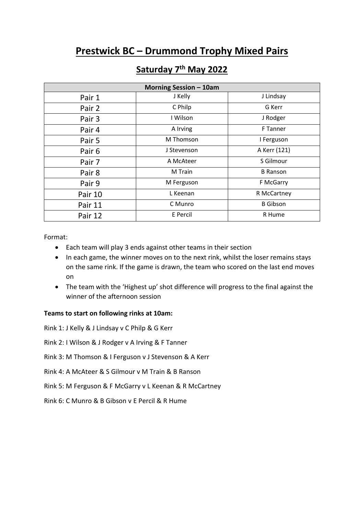# **Prestwick BC – Drummond Trophy Mixed Pairs**

| <b>Morning Session - 10am</b> |             |                 |
|-------------------------------|-------------|-----------------|
| Pair 1                        | J Kelly     | J Lindsay       |
| Pair 2                        | C Philp     | G Kerr          |
| Pair 3                        | I Wilson    | J Rodger        |
| Pair 4                        | A Irving    | F Tanner        |
| Pair 5                        | M Thomson   | I Ferguson      |
| Pair 6                        | J Stevenson | A Kerr (121)    |
| Pair 7                        | A McAteer   | S Gilmour       |
| Pair 8                        | M Train     | <b>B</b> Ranson |
| Pair 9                        | M Ferguson  | F McGarry       |
| Pair 10                       | L Keenan    | R McCartney     |
| Pair 11                       | C Munro     | <b>B</b> Gibson |
| Pair 12                       | E Percil    | R Hume          |

## **Saturday 7th May 2022**

Format:

- Each team will play 3 ends against other teams in their section
- In each game, the winner moves on to the next rink, whilst the loser remains stays on the same rink. If the game is drawn, the team who scored on the last end moves on
- The team with the 'Highest up' shot difference will progress to the final against the winner of the afternoon session

#### **Teams to start on following rinks at 10am:**

Rink 1: J Kelly & J Lindsay v C Philp & G Kerr

- Rink 2: I Wilson & J Rodger v A Irving & F Tanner
- Rink 3: M Thomson & I Ferguson v J Stevenson & A Kerr
- Rink 4: A McAteer & S Gilmour v M Train & B Ranson
- Rink 5: M Ferguson & F McGarry v L Keenan & R McCartney
- Rink 6: C Munro & B Gibson v E Percil & R Hume